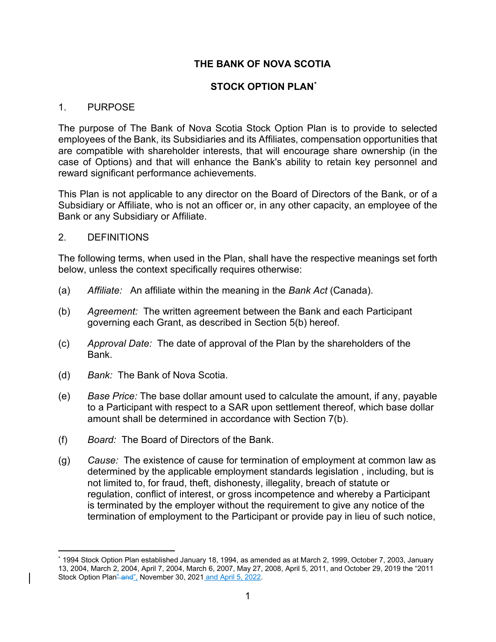# **THE BANK OF NOVA SCOTIA**

## **STOCK OPTION PLAN[\\*](#page-0-0)**

#### 1. PURPOSE

The purpose of The Bank of Nova Scotia Stock Option Plan is to provide to selected employees of the Bank, its Subsidiaries and its Affiliates, compensation opportunities that are compatible with shareholder interests, that will encourage share ownership (in the case of Options) and that will enhance the Bank's ability to retain key personnel and reward significant performance achievements.

This Plan is not applicable to any director on the Board of Directors of the Bank, or of a Subsidiary or Affiliate, who is not an officer or, in any other capacity, an employee of the Bank or any Subsidiary or Affiliate.

#### 2. DEFINITIONS

The following terms, when used in the Plan, shall have the respective meanings set forth below, unless the context specifically requires otherwise:

- (a) *Affiliate:* An affiliate within the meaning in the *Bank Act* (Canada).
- (b) *Agreement:* The written agreement between the Bank and each Participant governing each Grant, as described in Section 5(b) hereof.
- (c) *Approval Date:* The date of approval of the Plan by the shareholders of the Bank.
- (d) *Bank:* The Bank of Nova Scotia.
- (e) *Base Price:* The base dollar amount used to calculate the amount, if any, payable to a Participant with respect to a SAR upon settlement thereof, which base dollar amount shall be determined in accordance with Section 7(b).
- (f) *Board:* The Board of Directors of the Bank.
- (g) *Cause:* The existence of cause for termination of employment at common law as determined by the applicable employment standards legislation , including, but is not limited to, for fraud, theft, dishonesty, illegality, breach of statute or regulation, conflict of interest, or gross incompetence and whereby a Participant is terminated by the employer without the requirement to give any notice of the termination of employment to the Participant or provide pay in lieu of such notice,

<span id="page-0-0"></span><sup>\*</sup> 1994 Stock Option Plan established January 18, 1994, as amended as at March 2, 1999, October 7, 2003, January 13, 2004, March 2, 2004, April 7, 2004, March 6, 2007, May 27, 2008, April 5, 2011, and October 29, 2019 the "2011 Stock Option Plan" and", November 30, 2021 and April 5, 2022.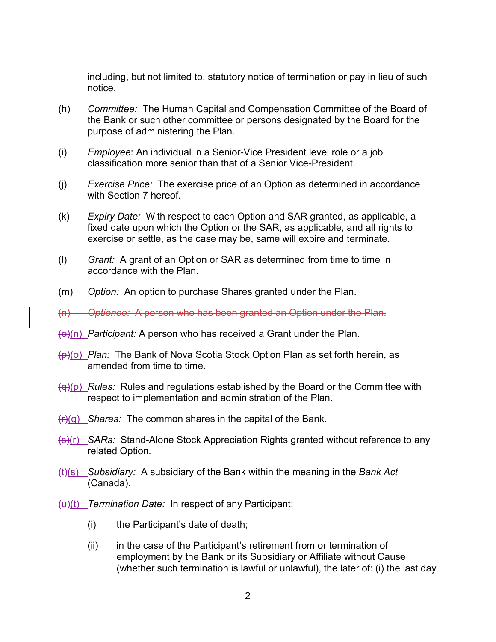including, but not limited to, statutory notice of termination or pay in lieu of such notice.

- (h) *Committee:* The Human Capital and Compensation Committee of the Board of the Bank or such other committee or persons designated by the Board for the purpose of administering the Plan.
- (i) *Employee*: An individual in a Senior-Vice President level role or a job classification more senior than that of a Senior Vice-President.
- (j) *Exercise Price:* The exercise price of an Option as determined in accordance with Section 7 hereof.
- (k) *Expiry Date:* With respect to each Option and SAR granted, as applicable, a fixed date upon which the Option or the SAR, as applicable, and all rights to exercise or settle, as the case may be, same will expire and terminate.
- (l) *Grant:* A grant of an Option or SAR as determined from time to time in accordance with the Plan.
- (m) *Option:* An option to purchase Shares granted under the Plan.
- (n) *Optionee:* A person who has been granted an Option under the Plan.
- (o)(n) *Participant:* A person who has received a Grant under the Plan.
- (p)(o) *Plan:* The Bank of Nova Scotia Stock Option Plan as set forth herein, as amended from time to time.
- (q)(p) *Rules:* Rules and regulations established by the Board or the Committee with respect to implementation and administration of the Plan.
- (r)(q) *Shares:* The common shares in the capital of the Bank.
- (s)(r) *SARs:* Stand-Alone Stock Appreciation Rights granted without reference to any related Option.
- (t)(s) *Subsidiary:* A subsidiary of the Bank within the meaning in the *Bank Act*  (Canada).
- (u)(t) *Termination Date:* In respect of any Participant:
	- (i) the Participant's date of death;
	- (ii) in the case of the Participant's retirement from or termination of employment by the Bank or its Subsidiary or Affiliate without Cause (whether such termination is lawful or unlawful), the later of: (i) the last day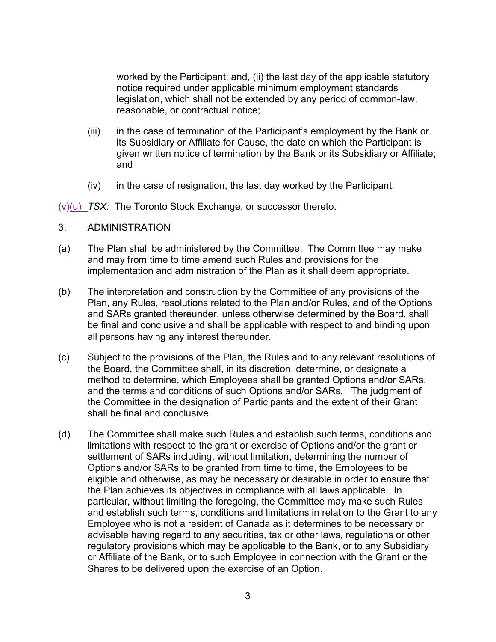worked by the Participant; and, (ii) the last day of the applicable statutory notice required under applicable minimum employment standards legislation, which shall not be extended by any period of common-law, reasonable, or contractual notice;

- (iii) in the case of termination of the Participant's employment by the Bank or its Subsidiary or Affiliate for Cause, the date on which the Participant is given written notice of termination by the Bank or its Subsidiary or Affiliate; and
- (iv) in the case of resignation, the last day worked by the Participant.

(v)(u) *TSX:* The Toronto Stock Exchange, or successor thereto.

- 3. ADMINISTRATION
- (a) The Plan shall be administered by the Committee. The Committee may make and may from time to time amend such Rules and provisions for the implementation and administration of the Plan as it shall deem appropriate.
- (b) The interpretation and construction by the Committee of any provisions of the Plan, any Rules, resolutions related to the Plan and/or Rules, and of the Options and SARs granted thereunder, unless otherwise determined by the Board, shall be final and conclusive and shall be applicable with respect to and binding upon all persons having any interest thereunder.
- (c) Subject to the provisions of the Plan, the Rules and to any relevant resolutions of the Board, the Committee shall, in its discretion, determine, or designate a method to determine, which Employees shall be granted Options and/or SARs, and the terms and conditions of such Options and/or SARs. The judgment of the Committee in the designation of Participants and the extent of their Grant shall be final and conclusive.
- (d) The Committee shall make such Rules and establish such terms, conditions and limitations with respect to the grant or exercise of Options and/or the grant or settlement of SARs including, without limitation, determining the number of Options and/or SARs to be granted from time to time, the Employees to be eligible and otherwise, as may be necessary or desirable in order to ensure that the Plan achieves its objectives in compliance with all laws applicable. In particular, without limiting the foregoing, the Committee may make such Rules and establish such terms, conditions and limitations in relation to the Grant to any Employee who is not a resident of Canada as it determines to be necessary or advisable having regard to any securities, tax or other laws, regulations or other regulatory provisions which may be applicable to the Bank, or to any Subsidiary or Affiliate of the Bank, or to such Employee in connection with the Grant or the Shares to be delivered upon the exercise of an Option.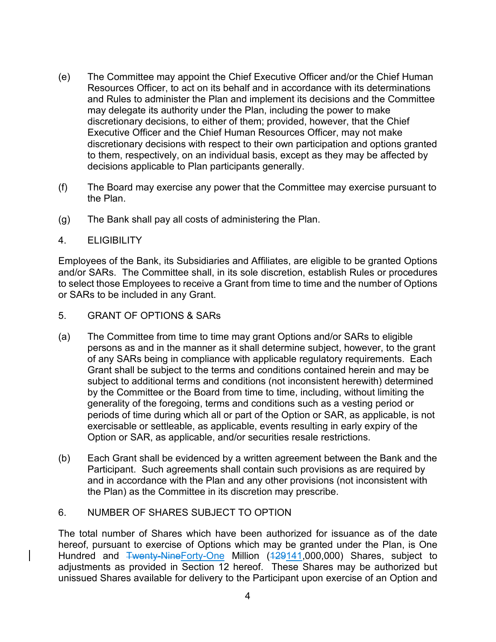- (e) The Committee may appoint the Chief Executive Officer and/or the Chief Human Resources Officer, to act on its behalf and in accordance with its determinations and Rules to administer the Plan and implement its decisions and the Committee may delegate its authority under the Plan, including the power to make discretionary decisions, to either of them; provided, however, that the Chief Executive Officer and the Chief Human Resources Officer, may not make discretionary decisions with respect to their own participation and options granted to them, respectively, on an individual basis, except as they may be affected by decisions applicable to Plan participants generally.
- (f) The Board may exercise any power that the Committee may exercise pursuant to the Plan.
- (g) The Bank shall pay all costs of administering the Plan.
- 4. ELIGIBILITY

Employees of the Bank, its Subsidiaries and Affiliates, are eligible to be granted Options and/or SARs. The Committee shall, in its sole discretion, establish Rules or procedures to select those Employees to receive a Grant from time to time and the number of Options or SARs to be included in any Grant.

- 5. GRANT OF OPTIONS & SARs
- (a) The Committee from time to time may grant Options and/or SARs to eligible persons as and in the manner as it shall determine subject, however, to the grant of any SARs being in compliance with applicable regulatory requirements. Each Grant shall be subject to the terms and conditions contained herein and may be subject to additional terms and conditions (not inconsistent herewith) determined by the Committee or the Board from time to time, including, without limiting the generality of the foregoing, terms and conditions such as a vesting period or periods of time during which all or part of the Option or SAR, as applicable, is not exercisable or settleable, as applicable, events resulting in early expiry of the Option or SAR, as applicable, and/or securities resale restrictions.
- (b) Each Grant shall be evidenced by a written agreement between the Bank and the Participant. Such agreements shall contain such provisions as are required by and in accordance with the Plan and any other provisions (not inconsistent with the Plan) as the Committee in its discretion may prescribe.
- 6. NUMBER OF SHARES SUBJECT TO OPTION

The total number of Shares which have been authorized for issuance as of the date hereof, pursuant to exercise of Options which may be granted under the Plan, is One Hundred and Twenty-NineForty-One Million (129141,000,000) Shares, subject to adjustments as provided in Section 12 hereof. These Shares may be authorized but unissued Shares available for delivery to the Participant upon exercise of an Option and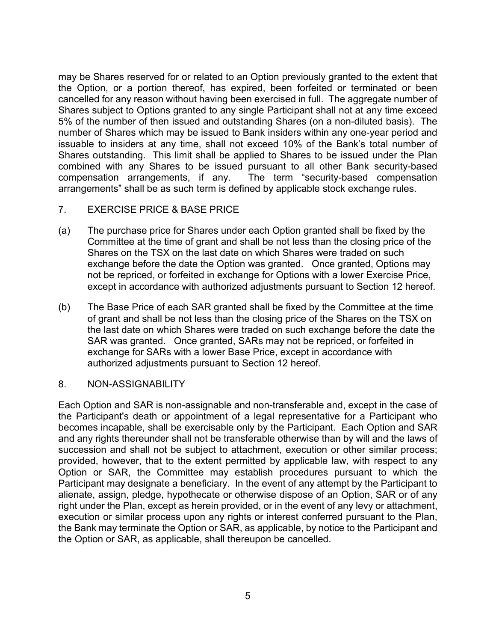may be Shares reserved for or related to an Option previously granted to the extent that the Option, or a portion thereof, has expired, been forfeited or terminated or been cancelled for any reason without having been exercised in full. The aggregate number of Shares subject to Options granted to any single Participant shall not at any time exceed 5% of the number of then issued and outstanding Shares (on a non-diluted basis). The number of Shares which may be issued to Bank insiders within any one-year period and issuable to insiders at any time, shall not exceed 10% of the Bank's total number of Shares outstanding. This limit shall be applied to Shares to be issued under the Plan combined with any Shares to be issued pursuant to all other Bank security-based compensation arrangements, if any. The term "security-based compensation arrangements" shall be as such term is defined by applicable stock exchange rules.

- 7. EXERCISE PRICE & BASE PRICE
- (a) The purchase price for Shares under each Option granted shall be fixed by the Committee at the time of grant and shall be not less than the closing price of the Shares on the TSX on the last date on which Shares were traded on such exchange before the date the Option was granted. Once granted, Options may not be repriced, or forfeited in exchange for Options with a lower Exercise Price, except in accordance with authorized adjustments pursuant to Section 12 hereof.
- (b) The Base Price of each SAR granted shall be fixed by the Committee at the time of grant and shall be not less than the closing price of the Shares on the TSX on the last date on which Shares were traded on such exchange before the date the SAR was granted. Once granted, SARs may not be repriced, or forfeited in exchange for SARs with a lower Base Price, except in accordance with authorized adjustments pursuant to Section 12 hereof.
- 8. NON-ASSIGNABILITY

Each Option and SAR is non-assignable and non-transferable and, except in the case of the Participant's death or appointment of a legal representative for a Participant who becomes incapable, shall be exercisable only by the Participant. Each Option and SAR and any rights thereunder shall not be transferable otherwise than by will and the laws of succession and shall not be subject to attachment, execution or other similar process; provided, however, that to the extent permitted by applicable law, with respect to any Option or SAR, the Committee may establish procedures pursuant to which the Participant may designate a beneficiary. In the event of any attempt by the Participant to alienate, assign, pledge, hypothecate or otherwise dispose of an Option, SAR or of any right under the Plan, except as herein provided, or in the event of any levy or attachment, execution or similar process upon any rights or interest conferred pursuant to the Plan, the Bank may terminate the Option or SAR, as applicable, by notice to the Participant and the Option or SAR, as applicable, shall thereupon be cancelled.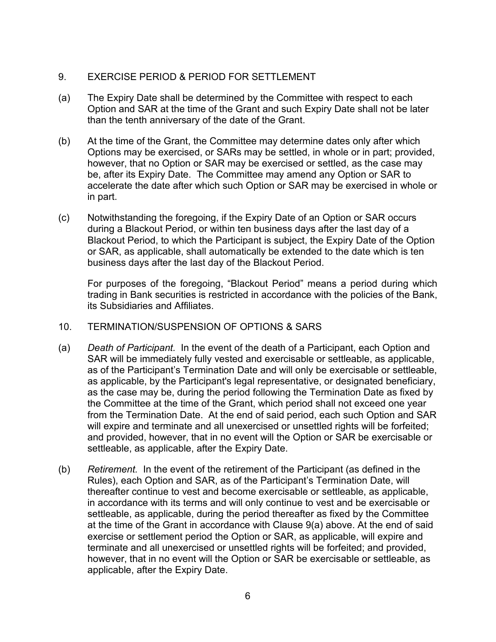## 9. EXERCISE PERIOD & PERIOD FOR SETTLEMENT

- (a) The Expiry Date shall be determined by the Committee with respect to each Option and SAR at the time of the Grant and such Expiry Date shall not be later than the tenth anniversary of the date of the Grant.
- (b) At the time of the Grant, the Committee may determine dates only after which Options may be exercised, or SARs may be settled, in whole or in part; provided, however, that no Option or SAR may be exercised or settled, as the case may be, after its Expiry Date. The Committee may amend any Option or SAR to accelerate the date after which such Option or SAR may be exercised in whole or in part.
- (c) Notwithstanding the foregoing, if the Expiry Date of an Option or SAR occurs during a Blackout Period, or within ten business days after the last day of a Blackout Period, to which the Participant is subject, the Expiry Date of the Option or SAR, as applicable, shall automatically be extended to the date which is ten business days after the last day of the Blackout Period.

For purposes of the foregoing, "Blackout Period" means a period during which trading in Bank securities is restricted in accordance with the policies of the Bank, its Subsidiaries and Affiliates.

#### 10. TERMINATION/SUSPENSION OF OPTIONS & SARS

- (a) *Death of Participant.* In the event of the death of a Participant, each Option and SAR will be immediately fully vested and exercisable or settleable, as applicable, as of the Participant's Termination Date and will only be exercisable or settleable, as applicable, by the Participant's legal representative, or designated beneficiary, as the case may be, during the period following the Termination Date as fixed by the Committee at the time of the Grant, which period shall not exceed one year from the Termination Date. At the end of said period, each such Option and SAR will expire and terminate and all unexercised or unsettled rights will be forfeited; and provided, however, that in no event will the Option or SAR be exercisable or settleable, as applicable, after the Expiry Date.
- (b) *Retirement.* In the event of the retirement of the Participant (as defined in the Rules), each Option and SAR, as of the Participant's Termination Date, will thereafter continue to vest and become exercisable or settleable, as applicable, in accordance with its terms and will only continue to vest and be exercisable or settleable, as applicable, during the period thereafter as fixed by the Committee at the time of the Grant in accordance with Clause 9(a) above. At the end of said exercise or settlement period the Option or SAR, as applicable, will expire and terminate and all unexercised or unsettled rights will be forfeited; and provided, however, that in no event will the Option or SAR be exercisable or settleable, as applicable, after the Expiry Date.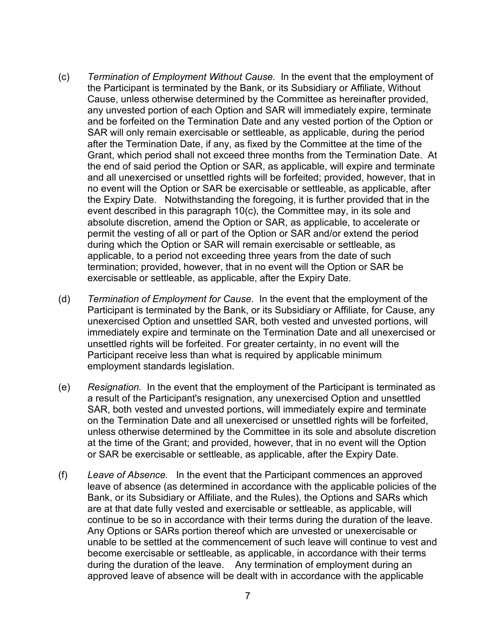- (c) *Termination of Employment Without Cause.* In the event that the employment of the Participant is terminated by the Bank, or its Subsidiary or Affiliate, Without Cause, unless otherwise determined by the Committee as hereinafter provided, any unvested portion of each Option and SAR will immediately expire, terminate and be forfeited on the Termination Date and any vested portion of the Option or SAR will only remain exercisable or settleable, as applicable, during the period after the Termination Date, if any, as fixed by the Committee at the time of the Grant, which period shall not exceed three months from the Termination Date. At the end of said period the Option or SAR, as applicable, will expire and terminate and all unexercised or unsettled rights will be forfeited; provided, however, that in no event will the Option or SAR be exercisable or settleable, as applicable, after the Expiry Date. Notwithstanding the foregoing, it is further provided that in the event described in this paragraph 10(c), the Committee may, in its sole and absolute discretion, amend the Option or SAR, as applicable, to accelerate or permit the vesting of all or part of the Option or SAR and/or extend the period during which the Option or SAR will remain exercisable or settleable, as applicable, to a period not exceeding three years from the date of such termination; provided, however, that in no event will the Option or SAR be exercisable or settleable, as applicable, after the Expiry Date.
- (d) *Termination of Employment for Cause.* In the event that the employment of the Participant is terminated by the Bank, or its Subsidiary or Affiliate, for Cause, any unexercised Option and unsettled SAR, both vested and unvested portions, will immediately expire and terminate on the Termination Date and all unexercised or unsettled rights will be forfeited. For greater certainty, in no event will the Participant receive less than what is required by applicable minimum employment standards legislation.
- (e) *Resignation.* In the event that the employment of the Participant is terminated as a result of the Participant's resignation, any unexercised Option and unsettled SAR, both vested and unvested portions, will immediately expire and terminate on the Termination Date and all unexercised or unsettled rights will be forfeited, unless otherwise determined by the Committee in its sole and absolute discretion at the time of the Grant; and provided, however, that in no event will the Option or SAR be exercisable or settleable, as applicable, after the Expiry Date.
- (f) *Leave of Absence.* In the event that the Participant commences an approved leave of absence (as determined in accordance with the applicable policies of the Bank, or its Subsidiary or Affiliate, and the Rules), the Options and SARs which are at that date fully vested and exercisable or settleable, as applicable, will continue to be so in accordance with their terms during the duration of the leave. Any Options or SARs portion thereof which are unvested or unexercisable or unable to be settled at the commencement of such leave will continue to vest and become exercisable or settleable, as applicable, in accordance with their terms during the duration of the leave. Any termination of employment during an approved leave of absence will be dealt with in accordance with the applicable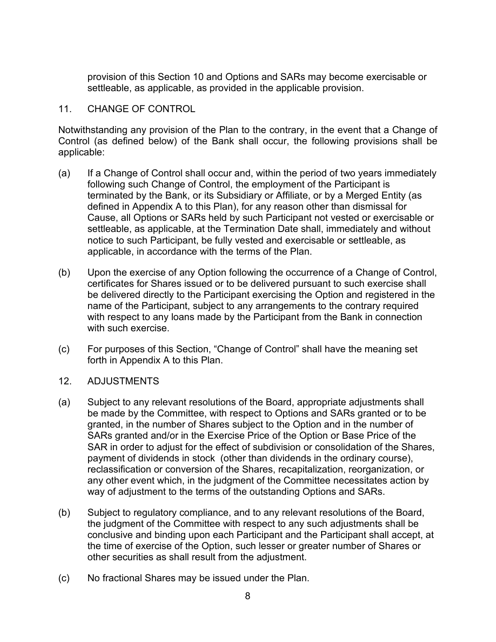provision of this Section 10 and Options and SARs may become exercisable or settleable, as applicable, as provided in the applicable provision.

#### 11. CHANGE OF CONTROL

Notwithstanding any provision of the Plan to the contrary, in the event that a Change of Control (as defined below) of the Bank shall occur, the following provisions shall be applicable:

- (a) If a Change of Control shall occur and, within the period of two years immediately following such Change of Control, the employment of the Participant is terminated by the Bank, or its Subsidiary or Affiliate, or by a Merged Entity (as defined in Appendix A to this Plan), for any reason other than dismissal for Cause, all Options or SARs held by such Participant not vested or exercisable or settleable, as applicable, at the Termination Date shall, immediately and without notice to such Participant, be fully vested and exercisable or settleable, as applicable, in accordance with the terms of the Plan.
- (b) Upon the exercise of any Option following the occurrence of a Change of Control, certificates for Shares issued or to be delivered pursuant to such exercise shall be delivered directly to the Participant exercising the Option and registered in the name of the Participant, subject to any arrangements to the contrary required with respect to any loans made by the Participant from the Bank in connection with such exercise.
- (c) For purposes of this Section, "Change of Control" shall have the meaning set forth in Appendix A to this Plan.
- 12. ADJUSTMENTS
- (a) Subject to any relevant resolutions of the Board, appropriate adjustments shall be made by the Committee, with respect to Options and SARs granted or to be granted, in the number of Shares subject to the Option and in the number of SARs granted and/or in the Exercise Price of the Option or Base Price of the SAR in order to adjust for the effect of subdivision or consolidation of the Shares, payment of dividends in stock (other than dividends in the ordinary course), reclassification or conversion of the Shares, recapitalization, reorganization, or any other event which, in the judgment of the Committee necessitates action by way of adjustment to the terms of the outstanding Options and SARs.
- (b) Subject to regulatory compliance, and to any relevant resolutions of the Board, the judgment of the Committee with respect to any such adjustments shall be conclusive and binding upon each Participant and the Participant shall accept, at the time of exercise of the Option, such lesser or greater number of Shares or other securities as shall result from the adjustment.
- (c) No fractional Shares may be issued under the Plan.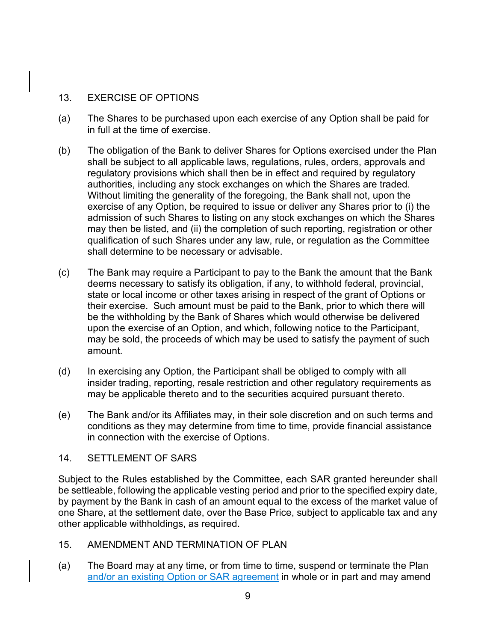## 13. EXERCISE OF OPTIONS

- (a) The Shares to be purchased upon each exercise of any Option shall be paid for in full at the time of exercise.
- (b) The obligation of the Bank to deliver Shares for Options exercised under the Plan shall be subject to all applicable laws, regulations, rules, orders, approvals and regulatory provisions which shall then be in effect and required by regulatory authorities, including any stock exchanges on which the Shares are traded. Without limiting the generality of the foregoing, the Bank shall not, upon the exercise of any Option, be required to issue or deliver any Shares prior to (i) the admission of such Shares to listing on any stock exchanges on which the Shares may then be listed, and (ii) the completion of such reporting, registration or other qualification of such Shares under any law, rule, or regulation as the Committee shall determine to be necessary or advisable.
- (c) The Bank may require a Participant to pay to the Bank the amount that the Bank deems necessary to satisfy its obligation, if any, to withhold federal, provincial, state or local income or other taxes arising in respect of the grant of Options or their exercise. Such amount must be paid to the Bank, prior to which there will be the withholding by the Bank of Shares which would otherwise be delivered upon the exercise of an Option, and which, following notice to the Participant, may be sold, the proceeds of which may be used to satisfy the payment of such amount.
- (d) In exercising any Option, the Participant shall be obliged to comply with all insider trading, reporting, resale restriction and other regulatory requirements as may be applicable thereto and to the securities acquired pursuant thereto.
- (e) The Bank and/or its Affiliates may, in their sole discretion and on such terms and conditions as they may determine from time to time, provide financial assistance in connection with the exercise of Options.

#### 14. SETTLEMENT OF SARS

Subject to the Rules established by the Committee, each SAR granted hereunder shall be settleable, following the applicable vesting period and prior to the specified expiry date, by payment by the Bank in cash of an amount equal to the excess of the market value of one Share, at the settlement date, over the Base Price, subject to applicable tax and any other applicable withholdings, as required.

#### 15. AMENDMENT AND TERMINATION OF PLAN

(a) The Board may at any time, or from time to time, suspend or terminate the Plan and/or an existing Option or SAR agreement in whole or in part and may amend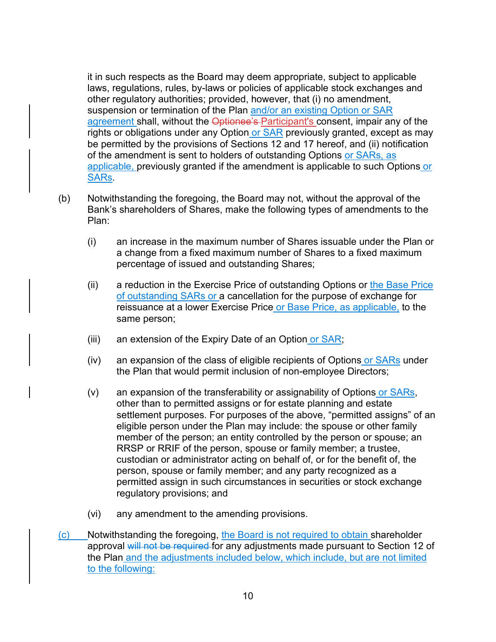it in such respects as the Board may deem appropriate, subject to applicable laws, regulations, rules, by-laws or policies of applicable stock exchanges and other regulatory authorities; provided, however, that (i) no amendment, suspension or termination of the Plan and/or an existing Option or SAR agreement shall, without the Optionee's Participant's consent, impair any of the rights or obligations under any Option or SAR previously granted, except as may be permitted by the provisions of Sections 12 and 17 hereof, and (ii) notification of the amendment is sent to holders of outstanding Options or SARs, as applicable, previously granted if the amendment is applicable to such Options or SARs.

- (b) Notwithstanding the foregoing, the Board may not, without the approval of the Bank's shareholders of Shares, make the following types of amendments to the Plan:
	- (i) an increase in the maximum number of Shares issuable under the Plan or a change from a fixed maximum number of Shares to a fixed maximum percentage of issued and outstanding Shares;
	- (ii) a reduction in the Exercise Price of outstanding Options or the Base Price of outstanding SARs or a cancellation for the purpose of exchange for reissuance at a lower Exercise Price or Base Price, as applicable, to the same person;
	- (iii) an extension of the Expiry Date of an Option or SAR;
	- $(iv)$  an expansion of the class of eligible recipients of Options or  $SARs$  under the Plan that would permit inclusion of non-employee Directors;
	- (v) an expansion of the transferability or assignability of Options or SARs, other than to permitted assigns or for estate planning and estate settlement purposes. For purposes of the above, "permitted assigns" of an eligible person under the Plan may include: the spouse or other family member of the person; an entity controlled by the person or spouse; an RRSP or RRIF of the person, spouse or family member; a trustee, custodian or administrator acting on behalf of, or for the benefit of, the person, spouse or family member; and any party recognized as a permitted assign in such circumstances in securities or stock exchange regulatory provisions; and
	- (vi) any amendment to the amending provisions.
- (c) Notwithstanding the foregoing, the Board is not required to obtain shareholder approval will not be required for any adjustments made pursuant to Section 12 of the Plan and the adjustments included below, which include, but are not limited to the following: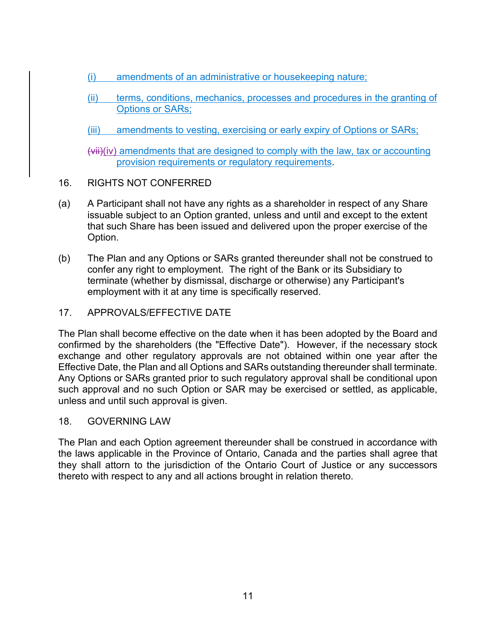- (i) amendments of an administrative or housekeeping nature;
- (ii) terms, conditions, mechanics, processes and procedures in the granting of Options or SARs;
- (iii) amendments to vesting, exercising or early expiry of Options or SARs;

 $(vii)(iv)$  amendments that are designed to comply with the law, tax or accounting provision requirements or regulatory requirements.

- 16. RIGHTS NOT CONFERRED
- (a) A Participant shall not have any rights as a shareholder in respect of any Share issuable subject to an Option granted, unless and until and except to the extent that such Share has been issued and delivered upon the proper exercise of the Option.
- (b) The Plan and any Options or SARs granted thereunder shall not be construed to confer any right to employment. The right of the Bank or its Subsidiary to terminate (whether by dismissal, discharge or otherwise) any Participant's employment with it at any time is specifically reserved.
- 17. APPROVALS/EFFECTIVE DATE

The Plan shall become effective on the date when it has been adopted by the Board and confirmed by the shareholders (the "Effective Date"). However, if the necessary stock exchange and other regulatory approvals are not obtained within one year after the Effective Date, the Plan and all Options and SARs outstanding thereunder shall terminate. Any Options or SARs granted prior to such regulatory approval shall be conditional upon such approval and no such Option or SAR may be exercised or settled, as applicable, unless and until such approval is given.

18. GOVERNING LAW

The Plan and each Option agreement thereunder shall be construed in accordance with the laws applicable in the Province of Ontario, Canada and the parties shall agree that they shall attorn to the jurisdiction of the Ontario Court of Justice or any successors thereto with respect to any and all actions brought in relation thereto.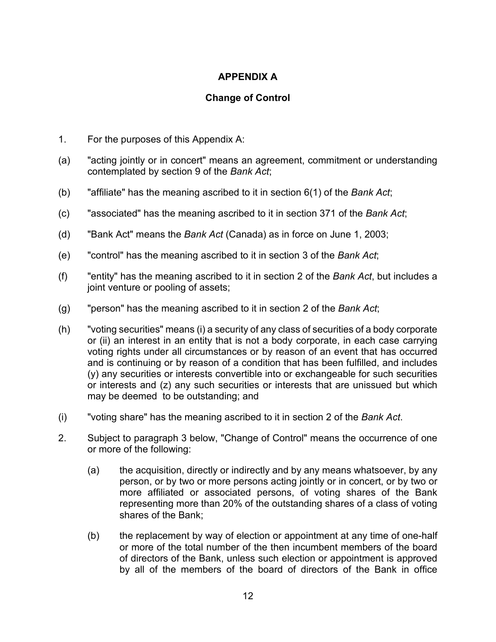# **APPENDIX A**

## **Change of Control**

- 1. For the purposes of this Appendix A:
- (a) "acting jointly or in concert" means an agreement, commitment or understanding contemplated by section 9 of the *Bank Act*;
- (b) "affiliate" has the meaning ascribed to it in section 6(1) of the *Bank Act*;
- (c) "associated" has the meaning ascribed to it in section 371 of the *Bank Act*;
- (d) "Bank Act" means the *Bank Act* (Canada) as in force on June 1, 2003;
- (e) "control" has the meaning ascribed to it in section 3 of the *Bank Act*;
- (f) "entity" has the meaning ascribed to it in section 2 of the *Bank Act*, but includes a joint venture or pooling of assets;
- (g) "person" has the meaning ascribed to it in section 2 of the *Bank Act*;
- (h) "voting securities" means (i) a security of any class of securities of a body corporate or (ii) an interest in an entity that is not a body corporate, in each case carrying voting rights under all circumstances or by reason of an event that has occurred and is continuing or by reason of a condition that has been fulfilled, and includes (y) any securities or interests convertible into or exchangeable for such securities or interests and (z) any such securities or interests that are unissued but which may be deemed to be outstanding; and
- (i) "voting share" has the meaning ascribed to it in section 2 of the *Bank Act*.
- 2. Subject to paragraph 3 below, "Change of Control" means the occurrence of one or more of the following:
	- (a) the acquisition, directly or indirectly and by any means whatsoever, by any person, or by two or more persons acting jointly or in concert, or by two or more affiliated or associated persons, of voting shares of the Bank representing more than 20% of the outstanding shares of a class of voting shares of the Bank;
	- (b) the replacement by way of election or appointment at any time of one-half or more of the total number of the then incumbent members of the board of directors of the Bank, unless such election or appointment is approved by all of the members of the board of directors of the Bank in office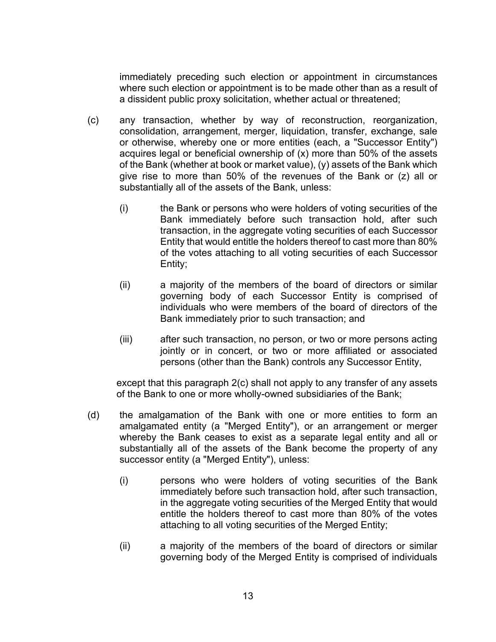immediately preceding such election or appointment in circumstances where such election or appointment is to be made other than as a result of a dissident public proxy solicitation, whether actual or threatened;

- (c) any transaction, whether by way of reconstruction, reorganization, consolidation, arrangement, merger, liquidation, transfer, exchange, sale or otherwise, whereby one or more entities (each, a "Successor Entity") acquires legal or beneficial ownership of (x) more than 50% of the assets of the Bank (whether at book or market value), (y) assets of the Bank which give rise to more than 50% of the revenues of the Bank or (z) all or substantially all of the assets of the Bank, unless:
	- (i) the Bank or persons who were holders of voting securities of the Bank immediately before such transaction hold, after such transaction, in the aggregate voting securities of each Successor Entity that would entitle the holders thereof to cast more than 80% of the votes attaching to all voting securities of each Successor Entity;
	- (ii) a majority of the members of the board of directors or similar governing body of each Successor Entity is comprised of individuals who were members of the board of directors of the Bank immediately prior to such transaction; and
	- (iii) after such transaction, no person, or two or more persons acting jointly or in concert, or two or more affiliated or associated persons (other than the Bank) controls any Successor Entity,

except that this paragraph 2(c) shall not apply to any transfer of any assets of the Bank to one or more wholly-owned subsidiaries of the Bank;

- (d) the amalgamation of the Bank with one or more entities to form an amalgamated entity (a "Merged Entity"), or an arrangement or merger whereby the Bank ceases to exist as a separate legal entity and all or substantially all of the assets of the Bank become the property of any successor entity (a "Merged Entity"), unless:
	- (i) persons who were holders of voting securities of the Bank immediately before such transaction hold, after such transaction, in the aggregate voting securities of the Merged Entity that would entitle the holders thereof to cast more than 80% of the votes attaching to all voting securities of the Merged Entity;
	- (ii) a majority of the members of the board of directors or similar governing body of the Merged Entity is comprised of individuals